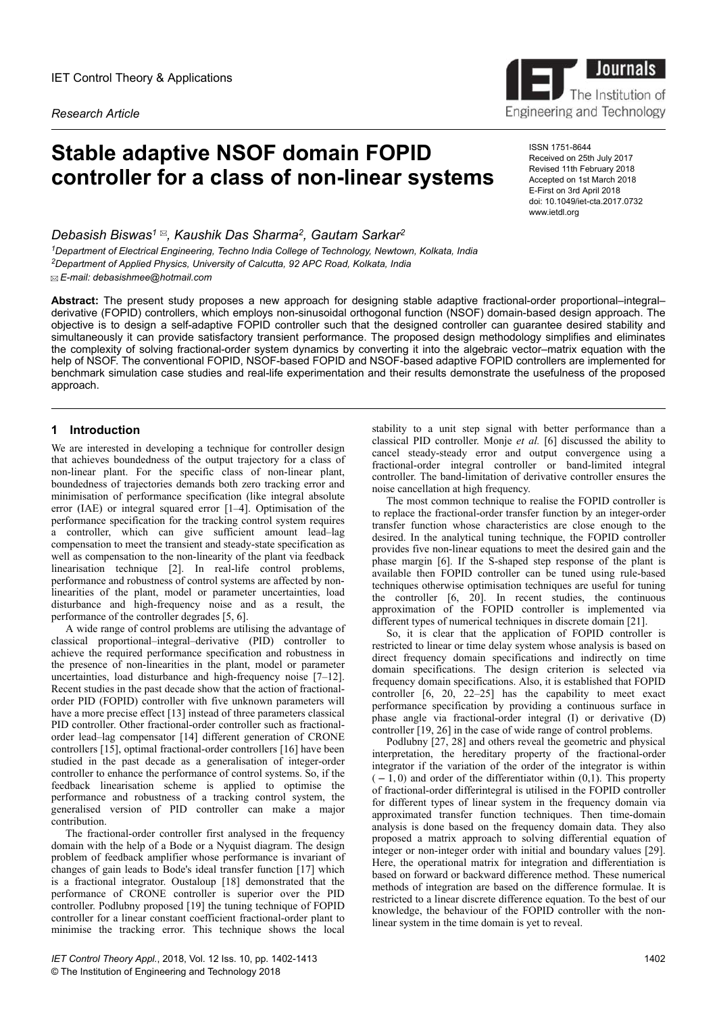*Research Article*

# **Stable adaptive NSOF domain FOPID controller for a class of non-linear systems**

*Debasish Biswas<sup>1</sup> , Kaushik Das Sharma<sup>2</sup> , Gautam Sarkar<sup>2</sup> <sup>1</sup>Department of Electrical Engineering, Techno India College of Technology, Newtown, Kolkata, India <sup>2</sup>Department of Applied Physics, University of Calcutta, 92 APC Road, Kolkata, India E-mail: debasishmee@hotmail.com*

**Abstract:** The present study proposes a new approach for designing stable adaptive fractional-order proportional–integral– derivative (FOPID) controllers, which employs non-sinusoidal orthogonal function (NSOF) domain-based design approach. The objective is to design a self-adaptive FOPID controller such that the designed controller can guarantee desired stability and simultaneously it can provide satisfactory transient performance. The proposed design methodology simplifies and eliminates the complexity of solving fractional-order system dynamics by converting it into the algebraic vector–matrix equation with the help of NSOF. The conventional FOPID, NSOF-based FOPID and NSOF-based adaptive FOPID controllers are implemented for benchmark simulation case studies and real-life experimentation and their results demonstrate the usefulness of the proposed approach.

# **1 Introduction**

We are interested in developing a technique for controller design that achieves boundedness of the output trajectory for a class of non-linear plant. For the specific class of non-linear plant, boundedness of trajectories demands both zero tracking error and minimisation of performance specification (like integral absolute error (IAE) or integral squared error [1–4]. Optimisation of the performance specification for the tracking control system requires a controller, which can give sufficient amount lead–lag compensation to meet the transient and steady-state specification as well as compensation to the non-linearity of the plant via feedback linearisation technique [2]. In real-life control problems, performance and robustness of control systems are affected by nonlinearities of the plant, model or parameter uncertainties, load disturbance and high-frequency noise and as a result, the performance of the controller degrades [5, 6].

A wide range of control problems are utilising the advantage of classical proportional–integral–derivative (PID) controller to achieve the required performance specification and robustness in the presence of non-linearities in the plant, model or parameter uncertainties, load disturbance and high-frequency noise [7–12]. Recent studies in the past decade show that the action of fractionalorder PID (FOPID) controller with five unknown parameters will have a more precise effect [13] instead of three parameters classical PID controller. Other fractional-order controller such as fractionalorder lead–lag compensator [14] different generation of CRONE controllers [15], optimal fractional-order controllers [16] have been studied in the past decade as a generalisation of integer-order controller to enhance the performance of control systems. So, if the feedback linearisation scheme is applied to optimise the performance and robustness of a tracking control system, the generalised version of PID controller can make a major contribution.

The fractional-order controller first analysed in the frequency domain with the help of a Bode or a Nyquist diagram. The design problem of feedback amplifier whose performance is invariant of changes of gain leads to Bode's ideal transfer function [17] which is a fractional integrator. Oustaloup [18] demonstrated that the performance of CRONE controller is superior over the PID controller. Podlubny proposed [19] the tuning technique of FOPID controller for a linear constant coefficient fractional-order plant to minimise the tracking error. This technique shows the local

stability to a unit step signal with better performance than a classical PID controller. Monje *et al.* [6] discussed the ability to cancel steady-steady error and output convergence using a fractional-order integral controller or band-limited integral controller. The band-limitation of derivative controller ensures the noise cancellation at high frequency.

The most common technique to realise the FOPID controller is to replace the fractional-order transfer function by an integer-order transfer function whose characteristics are close enough to the desired. In the analytical tuning technique, the FOPID controller provides five non-linear equations to meet the desired gain and the phase margin [6]. If the S-shaped step response of the plant is available then FOPID controller can be tuned using rule-based techniques otherwise optimisation techniques are useful for tuning the controller [6, 20]. In recent studies, the continuous approximation of the FOPID controller is implemented via different types of numerical techniques in discrete domain [21].

So, it is clear that the application of FOPID controller is restricted to linear or time delay system whose analysis is based on direct frequency domain specifications and indirectly on time domain specifications. The design criterion is selected via frequency domain specifications. Also, it is established that FOPID controller  $\begin{bmatrix} 6 & 20 \\ 22 & -25 \end{bmatrix}$  has the capability to meet exact performance specification by providing a continuous surface in phase angle via fractional-order integral (I) or derivative (D) controller [19, 26] in the case of wide range of control problems.

Podlubny [27, 28] and others reveal the geometric and physical interpretation, the hereditary property of the fractional-order integrator if the variation of the order of the integrator is within  $(-1, 0)$  and order of the differentiator within  $(0, 1)$ . This property of fractional-order differintegral is utilised in the FOPID controller for different types of linear system in the frequency domain via approximated transfer function techniques. Then time-domain analysis is done based on the frequency domain data. They also proposed a matrix approach to solving differential equation of integer or non-integer order with initial and boundary values [29]. Here, the operational matrix for integration and differentiation is based on forward or backward difference method. These numerical methods of integration are based on the difference formulae. It is restricted to a linear discrete difference equation. To the best of our knowledge, the behaviour of the FOPID controller with the nonlinear system in the time domain is yet to reveal.



ISSN 1751-8644 Received on 25th July 2017 Revised 11th February 2018 Accepted on 1st March 2018 E-First on 3rd April 2018 doi: 10.1049/iet-cta.2017.0732 www.ietdl.org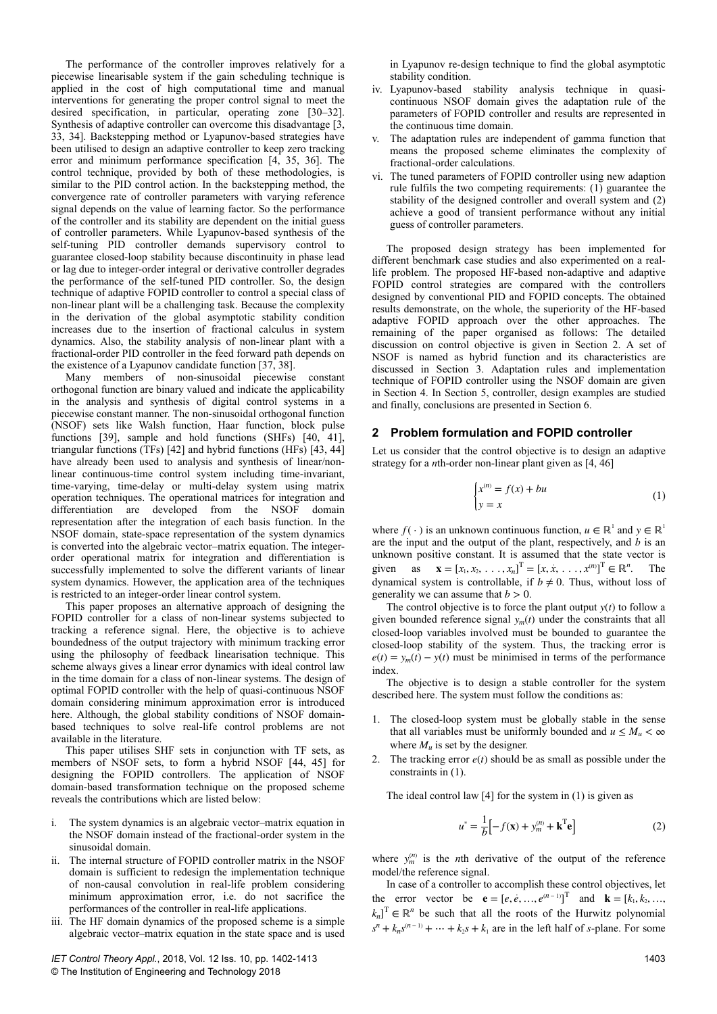The performance of the controller improves relatively for a piecewise linearisable system if the gain scheduling technique is applied in the cost of high computational time and manual interventions for generating the proper control signal to meet the desired specification, in particular, operating zone [30–32]. Synthesis of adaptive controller can overcome this disadvantage [3, 33, 34]. Backstepping method or Lyapunov-based strategies have been utilised to design an adaptive controller to keep zero tracking error and minimum performance specification [4, 35, 36]. The control technique, provided by both of these methodologies, is similar to the PID control action. In the backstepping method, the convergence rate of controller parameters with varying reference signal depends on the value of learning factor. So the performance of the controller and its stability are dependent on the initial guess of controller parameters. While Lyapunov-based synthesis of the self-tuning PID controller demands supervisory control to guarantee closed-loop stability because discontinuity in phase lead or lag due to integer-order integral or derivative controller degrades the performance of the self-tuned PID controller. So, the design technique of adaptive FOPID controller to control a special class of non-linear plant will be a challenging task. Because the complexity in the derivation of the global asymptotic stability condition increases due to the insertion of fractional calculus in system dynamics. Also, the stability analysis of non-linear plant with a fractional-order PID controller in the feed forward path depends on the existence of a Lyapunov candidate function [37, 38].

Many members of non-sinusoidal piecewise constant orthogonal function are binary valued and indicate the applicability in the analysis and synthesis of digital control systems in a piecewise constant manner. The non-sinusoidal orthogonal function (NSOF) sets like Walsh function, Haar function, block pulse functions [39], sample and hold functions (SHFs) [40, 41], triangular functions (TFs) [42] and hybrid functions (HFs) [43, 44] have already been used to analysis and synthesis of linear/nonlinear continuous-time control system including time-invariant, time-varying, time-delay or multi-delay system using matrix operation techniques. The operational matrices for integration and differentiation are developed from the NSOF domain representation after the integration of each basis function. In the NSOF domain, state-space representation of the system dynamics is converted into the algebraic vector–matrix equation. The integerorder operational matrix for integration and differentiation is successfully implemented to solve the different variants of linear system dynamics. However, the application area of the techniques is restricted to an integer-order linear control system.

This paper proposes an alternative approach of designing the FOPID controller for a class of non-linear systems subjected to tracking a reference signal. Here, the objective is to achieve boundedness of the output trajectory with minimum tracking error using the philosophy of feedback linearisation technique. This scheme always gives a linear error dynamics with ideal control law in the time domain for a class of non-linear systems. The design of optimal FOPID controller with the help of quasi-continuous NSOF domain considering minimum approximation error is introduced here. Although, the global stability conditions of NSOF domainbased techniques to solve real-life control problems are not available in the literature.

This paper utilises SHF sets in conjunction with TF sets, as members of NSOF sets, to form a hybrid NSOF [44, 45] for designing the FOPID controllers. The application of NSOF domain-based transformation technique on the proposed scheme reveals the contributions which are listed below:

- i. The system dynamics is an algebraic vector–matrix equation in the NSOF domain instead of the fractional-order system in the sinusoidal domain.
- ii. The internal structure of FOPID controller matrix in the NSOF domain is sufficient to redesign the implementation technique of non-causal convolution in real-life problem considering minimum approximation error, i.e. do not sacrifice the performances of the controller in real-life applications.
- iii. The HF domain dynamics of the proposed scheme is a simple algebraic vector–matrix equation in the state space and is used

in Lyapunov re-design technique to find the global asymptotic stability condition.

- iv. Lyapunov-based stability analysis technique in quasicontinuous NSOF domain gives the adaptation rule of the parameters of FOPID controller and results are represented in the continuous time domain.
- v. The adaptation rules are independent of gamma function that means the proposed scheme eliminates the complexity of fractional-order calculations.
- vi. The tuned parameters of FOPID controller using new adaption rule fulfils the two competing requirements: (1) guarantee the stability of the designed controller and overall system and (2) achieve a good of transient performance without any initial guess of controller parameters.

The proposed design strategy has been implemented for different benchmark case studies and also experimented on a reallife problem. The proposed HF-based non-adaptive and adaptive FOPID control strategies are compared with the controllers designed by conventional PID and FOPID concepts. The obtained results demonstrate, on the whole, the superiority of the HF-based adaptive FOPID approach over the other approaches. The remaining of the paper organised as follows: The detailed discussion on control objective is given in Section 2. A set of NSOF is named as hybrid function and its characteristics are discussed in Section 3. Adaptation rules and implementation technique of FOPID controller using the NSOF domain are given in Section 4. In Section 5, controller, design examples are studied and finally, conclusions are presented in Section 6.

## **2 Problem formulation and FOPID controller**

Let us consider that the control objective is to design an adaptive strategy for a *n*th-order non-linear plant given as [4, 46]

$$
\begin{cases} x^{(n)} = f(x) + bu \\ y = x \end{cases} \tag{1}
$$

where  $f(\cdot)$  is an unknown continuous function,  $u \in \mathbb{R}^1$  and  $y \in \mathbb{R}^1$ are the input and the output of the plant, respectively, and *b* is an unknown positive constant. It is assumed that the state vector is given as  $\mathbf{x} = [x_1, x_2, \dots, x_n]^T = [x, \dot{x}, \dots, x^{(n)}]^T \in \mathbb{R}^n$ . The dynamical system is controllable, if  $b \neq 0$ . Thus, without loss of generality we can assume that  $b > 0$ .

The control objective is to force the plant output  $y(t)$  to follow a given bounded reference signal  $y_m(t)$  under the constraints that all closed-loop variables involved must be bounded to guarantee the closed-loop stability of the system. Thus, the tracking error is  $e(t) = y_m(t) - y(t)$  must be minimised in terms of the performance index.

The objective is to design a stable controller for the system described here. The system must follow the conditions as:

- 1. The closed-loop system must be globally stable in the sense that all variables must be uniformly bounded and  $u \leq M_u < \infty$ where  $M_u$  is set by the designer.
- 2. The tracking error  $e(t)$  should be as small as possible under the constraints in (1).

The ideal control law  $[4]$  for the system in  $(1)$  is given as

$$
u^* = \frac{1}{b} \left[ -f(\mathbf{x}) + y_m^{(n)} + \mathbf{k}^{\mathrm{T}} \mathbf{e} \right]
$$
 (2)

where  $y_m^{(n)}$  is the *n*th derivative of the output of the reference model/the reference signal.

In case of a controller to accomplish these control objectives, let the error vector be  $\mathbf{e} = [e, e, ..., e^{(n-1)}]^T$  and  $\mathbf{k} = [k_1, k_2, ...,$  $k_n$ <sup>T</sup>  $\in \mathbb{R}^n$  be such that all the roots of the Hurwitz polynomial  $s^n + k_n s^{(n-1)} + \dots + k_2 s + k_1$  are in the left half of *s*-plane. For some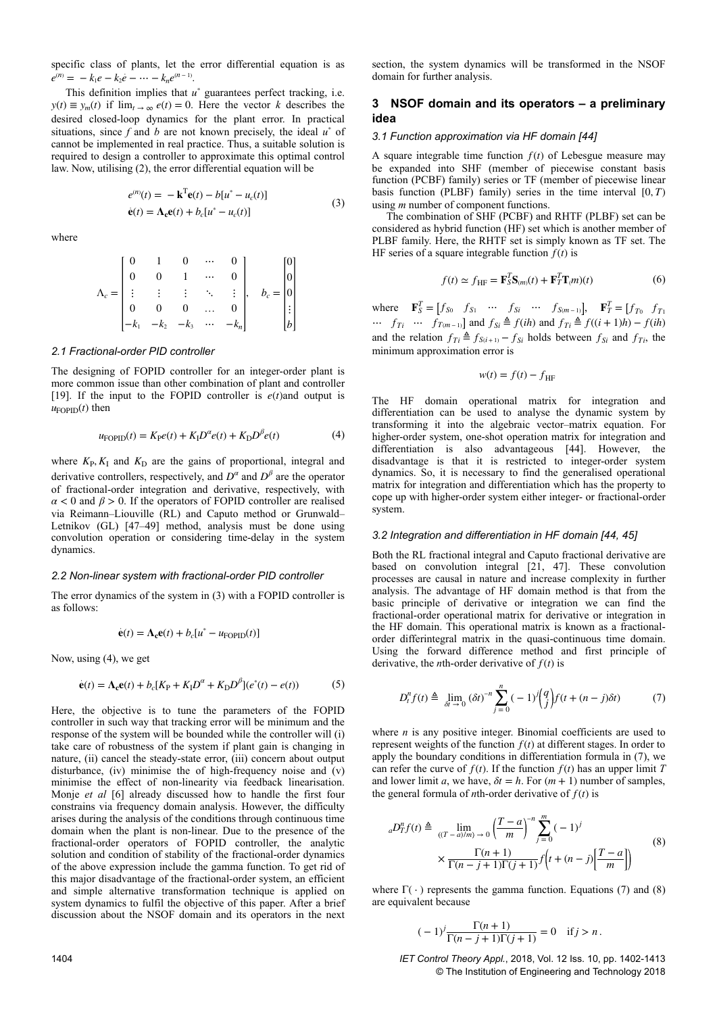specific class of plants, let the error differential equation is as  $e^{(n)} = -k_1e - k_2e - \cdots - k_ne^{(n-1)}.$ 

This definition implies that  $u^*$  guarantees perfect tracking, i.e.  $y(t) \equiv y_m(t)$  if  $\lim_{t \to \infty} e(t) = 0$ . Here the vector *k* describes the desired closed-loop dynamics for the plant error. In practical situations, since  $f$  and  $b$  are not known precisely, the ideal  $u^*$  of cannot be implemented in real practice. Thus, a suitable solution is required to design a controller to approximate this optimal control law. Now, utilising (2), the error differential equation will be

$$
e^{(n)}(t) = -\mathbf{k}^{\mathrm{T}} \mathbf{e}(t) - b[u^* - u_c(t)]
$$
  
\n
$$
\dot{\mathbf{e}}(t) = \Lambda_c \mathbf{e}(t) + b_c[u^* - u_c(t)]
$$
\n(3)

where

$$
\Lambda_c = \begin{bmatrix} 0 & 1 & 0 & \cdots & 0 \\ 0 & 0 & 1 & \cdots & 0 \\ \vdots & \vdots & \vdots & \ddots & \vdots \\ 0 & 0 & 0 & \cdots & 0 \\ -k_1 & -k_2 & -k_3 & \cdots & -k_n \end{bmatrix}, \quad b_c = \begin{bmatrix} 0 \\ 0 \\ 0 \\ \vdots \\ b \end{bmatrix}
$$

### *2.1 Fractional-order PID controller*

The designing of FOPID controller for an integer-order plant is more common issue than other combination of plant and controller [19]. If the input to the FOPID controller is  $e(t)$  and output is  $u_{\text{FOPID}}(t)$  then

$$
u_{\text{FOPID}}(t) = K_{\text{P}}e(t) + K_{\text{I}}D^{\alpha}e(t) + K_{\text{D}}D^{\beta}e(t)
$$
\n<sup>(4)</sup>

where  $K_{\rm P}$ ,  $K_{\rm I}$  and  $K_{\rm D}$  are the gains of proportional, integral and derivative controllers, respectively, and  $D^{\alpha}$  and  $D^{\beta}$  are the operator of fractional-order integration and derivative, respectively, with  $\alpha$  < 0 and  $\beta$  > 0. If the operators of FOPID controller are realised via Reimann–Liouville (RL) and Caputo method or Grunwald– Letnikov (GL) [47–49] method, analysis must be done using convolution operation or considering time-delay in the system dynamics.

#### *2.2 Non-linear system with fractional-order PID controller*

The error dynamics of the system in (3) with a FOPID controller is as follows:

$$
\dot{\mathbf{e}}(t) = \Lambda_{\mathbf{c}} \mathbf{e}(t) + b_c [u^* - u_{\text{FOPID}}(t)]
$$

Now, using (4), we get

$$
\dot{\mathbf{e}}(t) = \Lambda_{\mathbf{c}} \mathbf{e}(t) + b_c [K_{\mathbf{P}} + K_{\mathbf{I}} D^{\alpha} + K_{\mathbf{D}} D^{\beta}] (e^*(t) - e(t)) \tag{5}
$$

Here, the objective is to tune the parameters of the FOPID controller in such way that tracking error will be minimum and the response of the system will be bounded while the controller will (i) take care of robustness of the system if plant gain is changing in nature, (ii) cancel the steady-state error, (iii) concern about output disturbance, (iv) minimise the of high-frequency noise and  $\hat{v}$ minimise the effect of non-linearity via feedback linearisation. Monje *et al* [6] already discussed how to handle the first four constrains via frequency domain analysis. However, the difficulty arises during the analysis of the conditions through continuous time domain when the plant is non-linear. Due to the presence of the fractional-order operators of FOPID controller, the analytic solution and condition of stability of the fractional-order dynamics of the above expression include the gamma function. To get rid of this major disadvantage of the fractional-order system, an efficient and simple alternative transformation technique is applied on system dynamics to fulfil the objective of this paper. After a brief discussion about the NSOF domain and its operators in the next

section, the system dynamics will be transformed in the NSOF domain for further analysis.

# **3 NSOF domain and its operators – a preliminary idea**

## *3.1 Function approximation via HF domain [44]*

A square integrable time function  $f(t)$  of Lebesgue measure may be expanded into SHF (member of piecewise constant basis function (PCBF) family) series or TF (member of piecewise linear basis function (PLBF) family) series in the time interval  $[0, T)$ using *m* number of component functions.

The combination of SHF (PCBF) and RHTF (PLBF) set can be considered as hybrid function (HF) set which is another member of PLBF family. Here, the RHTF set is simply known as TF set. The HF series of a square integrable function  $f(t)$  is

$$
f(t) \simeq f_{\text{HF}} = \mathbf{F}_S^T \mathbf{S}_{(m)}(t) + \mathbf{F}_T^T \mathbf{T}_{(m)}(t)
$$
 (6)

where  $\mathbf{F}_S^T = [f_{S0} \quad f_{S1} \quad \cdots \quad f_{Si} \quad \cdots \quad f_{S(m-1)}], \quad \mathbf{F}_T^T = [f_{T0} \quad f_{T1}]$ …  $f_{Ti}$  …  $f_{T(m-1)}$  and  $f_{Si}$  ≜  $f(ih)$  and  $f_{Ti}$  ≜  $f((i+1)h) - f(ih)$ and the relation  $f_{Ti} \triangleq f_{S(i+1)} - f_{Si}$  holds between  $f_{Si}$  and  $f_{Ti}$ , the minimum approximation error is

$$
w(t) = f(t) - f_{\text{HF}}
$$

The HF domain operational matrix for integration and differentiation can be used to analyse the dynamic system by transforming it into the algebraic vector–matrix equation. For higher-order system, one-shot operation matrix for integration and differentiation is also advantageous [44]. However, the disadvantage is that it is restricted to integer-order system dynamics. So, it is necessary to find the generalised operational matrix for integration and differentiation which has the property to cope up with higher-order system either integer- or fractional-order system.

## *3.2 Integration and differentiation in HF domain [44, 45]*

Both the RL fractional integral and Caputo fractional derivative are based on convolution integral [21, 47]. These convolution processes are causal in nature and increase complexity in further analysis. The advantage of HF domain method is that from the basic principle of derivative or integration we can find the fractional-order operational matrix for derivative or integration in the HF domain. This operational matrix is known as a fractionalorder differintegral matrix in the quasi-continuous time domain. Using the forward difference method and first principle of derivative, the *n*th-order derivative of  $f(t)$  is

$$
D_t^n f(t) \triangleq \lim_{\delta t \to 0} (\delta t)^{-n} \sum_{j=0}^n (-1)^j {q \choose j} f(t + (n-j)\delta t) \tag{7}
$$

where *n* is any positive integer. Binomial coefficients are used to represent weights of the function  $f(t)$  at different stages. In order to apply the boundary conditions in differentiation formula in (7), we can refer the curve of  $f(t)$ . If the function  $f(t)$  has an upper limit *T* and lower limit *a*, we have,  $\delta t = h$ . For  $(m + 1)$  number of samples, the general formula of *n*th-order derivative of  $f(t)$  is

$$
{}_{a}D_{T}^{n}f(t) \triangleq \lim_{((T-a)/m) \to 0} \left(\frac{T-a}{m}\right)^{-n} \sum_{j=0}^{m} (-1)^{j}
$$
  
 
$$
\times \frac{\Gamma(n+1)}{\Gamma(n-j+1)\Gamma(j+1)} f\left(t + (n-j)\left(\frac{T-a}{m}\right)\right)
$$
 (8)

where  $\Gamma(\cdot)$  represents the gamma function. Equations (7) and (8) are equivalent because

$$
(-1)^j \frac{\Gamma(n+1)}{\Gamma(n-j+1)\Gamma(j+1)} = 0 \quad \text{if } j > n.
$$

1404 *IET Control Theory Appl.*, 2018, Vol. 12 Iss. 10, pp. 1402-1413 © The Institution of Engineering and Technology 2018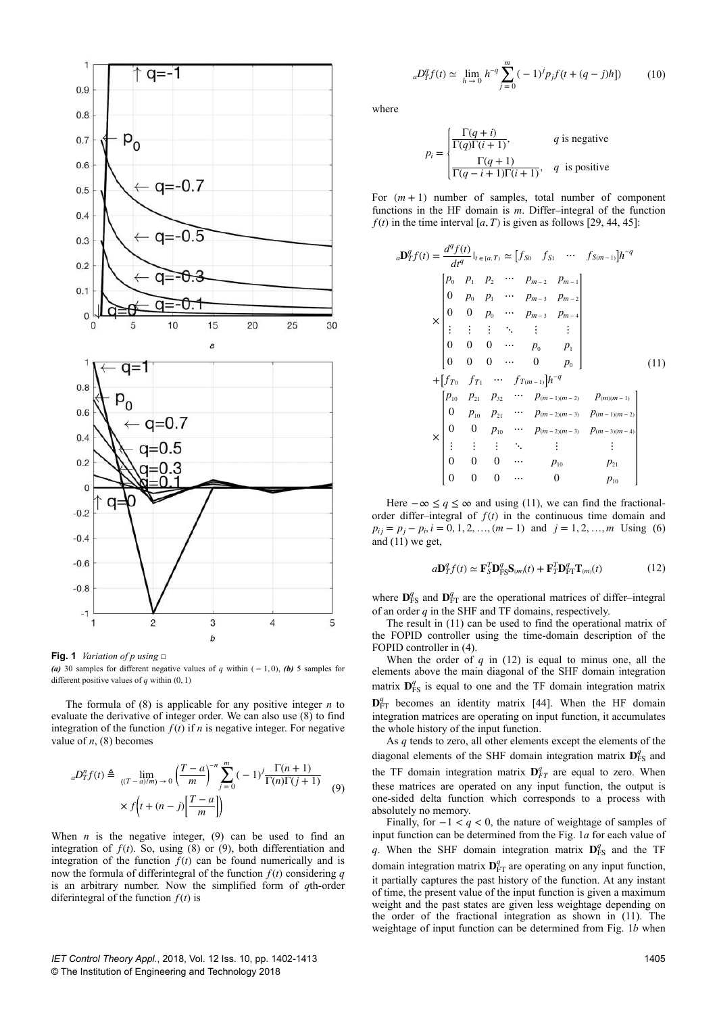

**Fig. 1** *Variation of p using* □

*(a)* 30 samples for different negative values of *q* within ( $-1, 0$ ), *(b)* 5 samples for different positive values of  $q$  within  $(0, 1)$ 

The formula of (8) is applicable for any positive integer *n* to evaluate the derivative of integer order. We can also use (8) to find integration of the function  $f(t)$  if *n* is negative integer. For negative value of  $n$ , (8) becomes

$$
{}_{a}D_{T}^{n}f(t) \triangleq \lim_{\left((T-a)/m\right) \to 0} \left(\frac{T-a}{m}\right)^{-n} \sum_{j=0}^{m} (-1)^{j} \frac{\Gamma(n+1)}{\Gamma(n)\Gamma(j+1)} \tag{9}
$$

$$
\times f\left(t + (n-j)\left[\frac{T-a}{m}\right]\right)
$$

When  $n$  is the negative integer,  $(9)$  can be used to find an integration of  $f(t)$ . So, using  $(8)$  or  $(9)$ , both differentiation and integration of the function  $f(t)$  can be found numerically and is now the formula of differintegral of the function  $f(t)$  considering  $q$ is an arbitrary number. Now the simplified form of *q*th-order diferintegral of the function  $f(t)$  is

$$
{}_{a}D_{T}^{q}f(t) \simeq \lim_{h \to 0} h^{-q} \sum_{j=0}^{m} (-1)^{j} p_{j} f(t + (q - j)h]) \tag{10}
$$

where

$$
p_i = \begin{cases} \frac{\Gamma(q+i)}{\Gamma(q)\Gamma(i+1)}, & q \text{ is negative} \\ \frac{\Gamma(q+1)}{\Gamma(q-i+1)\Gamma(i+1)}, & q \text{ is positive} \end{cases}
$$

For  $(m + 1)$  number of samples, total number of component functions in the HF domain is *m*. Differ–integral of the function  $f(t)$  in the time interval [ $a$ ,  $T$ ) is given as follows [29, 44, 45]:

$$
{}_{a}\mathbf{D}_{T}^{q}f(t) = \frac{d^{q}f(t)}{dt^{q}}|_{t \in [a,T)} \simeq [f_{S0} \quad f_{S1} \quad \cdots \quad f_{S(m-1)}]h^{-q}
$$
\n
$$
\times \begin{bmatrix} p_{0} & p_{1} & p_{2} & \cdots & p_{m-2} & p_{m-1} \\ 0 & p_{0} & p_{1} & \cdots & p_{m-3} & p_{m-2} \\ 0 & 0 & p_{0} & \cdots & p_{m-3} & p_{m-4} \\ \vdots & \vdots & \vdots & \ddots & \vdots & \vdots \\ 0 & 0 & 0 & \cdots & p_{0} & p_{1} \\ 0 & 0 & 0 & \cdots & 0 & p_{0} \end{bmatrix}
$$
\n
$$
+ [f_{T0} \quad f_{T1} \quad \cdots \quad f_{T(m-1)}]h^{-q}
$$
\n
$$
\times \begin{bmatrix} p_{10} & p_{21} & p_{32} & \cdots & p_{(m-1)(m-2)} & p_{(m)(m-1)} \\ 0 & p_{10} & p_{21} & \cdots & p_{(m-2)(m-3)} & p_{(m-1)(m-2)} \\ 0 & 0 & p_{10} & \cdots & p_{(m-2)(m-3)} & p_{(m-3)(m-4)} \\ \vdots & \vdots & \vdots & \ddots & \vdots & \vdots \\ 0 & 0 & 0 & \cdots & p_{10} & p_{21} \\ 0 & 0 & 0 & \cdots & 0 & p_{10} \end{bmatrix}
$$

Here  $-\infty \leq q \leq \infty$  and using (11), we can find the fractionalorder differ–integral of  $f(t)$  in the continuous time domain and  $p_{ij} = p_j - p_i$ ,  $i = 0, 1, 2, ..., (m - 1)$  and  $j = 1, 2, ..., m$  Using (6) and (11) we get,

$$
a\mathbf{D}_T^q f(t) \simeq \mathbf{F}_S^T \mathbf{D}_{\text{FS}}^q \mathbf{S}_{(m)}(t) + \mathbf{F}_T^T \mathbf{D}_{\text{FT}}^q \mathbf{T}_{(m)}(t) \tag{12}
$$

where  $\mathbf{D}_{\text{FS}}^q$  and  $\mathbf{D}_{\text{FT}}^q$  are the operational matrices of differ–integral of an order *q* in the SHF and TF domains, respectively.

The result in (11) can be used to find the operational matrix of the FOPID controller using the time-domain description of the FOPID controller in (4).

When the order of  $q$  in (12) is equal to minus one, all the elements above the main diagonal of the SHF domain integration matrix  $\mathbf{D}_{\text{FS}}^q$  is equal to one and the TF domain integration matrix

 $\mathbf{D}_{\text{FT}}^q$  becomes an identity matrix [44]. When the HF domain integration matrices are operating on input function, it accumulates the whole history of the input function.

As *q* tends to zero, all other elements except the elements of the diagonal elements of the SHF domain integration matrix  $\mathbf{D}_{\text{FS}}^q$  and the TF domain integration matrix  $D_{FT}^q$  are equal to zero. When these matrices are operated on any input function, the output is one-sided delta function which corresponds to a process with absolutely no memory.

Finally, for −1 < *q* < 0, the nature of weightage of samples of input function can be determined from the Fig. 1*a* for each value of *q*. When the SHF domain integration matrix  $\mathbf{D}_{\text{FS}}^q$  and the TF domain integration matrix  $\mathbf{D}_{FT}^q$  are operating on any input function, it partially captures the past history of the function. At any instant of time, the present value of the input function is given a maximum weight and the past states are given less weightage depending on the order of the fractional integration as shown in (11). The weightage of input function can be determined from Fig. 1*b* when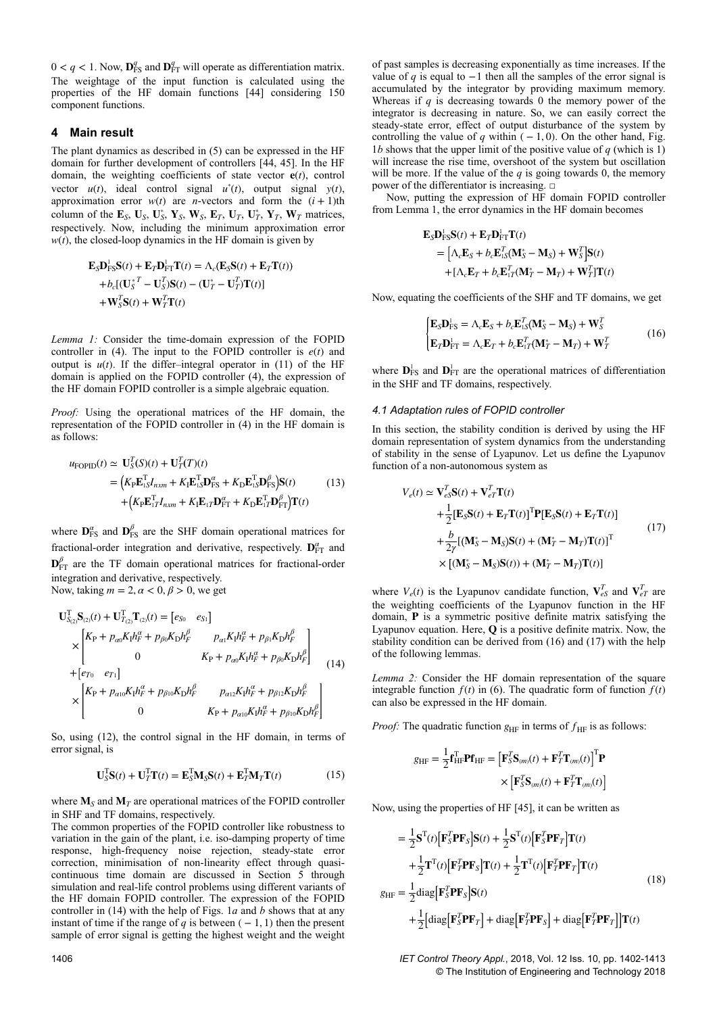$0 < q < 1$ . Now,  $\mathbf{D}_{\text{FS}}^q$  and  $\mathbf{D}_{\text{FT}}^q$  will operate as differentiation matrix. The weightage of the input function is calculated using the properties of the HF domain functions [44] considering 150 component functions.

## **4 Main result**

The plant dynamics as described in (5) can be expressed in the HF domain for further development of controllers [44, 45]. In the HF domain, the weighting coefficients of state vector **e**(*t*), control vector  $u(t)$ , ideal control signal  $u^*(t)$ , output signal  $y(t)$ , approximation error  $w(t)$  are *n*-vectors and form the  $(i + 1)$ th column of the  $\mathbf{E}_S$ ,  $\mathbf{U}_S$ ,  $\mathbf{U}_S^*$ ,  $\mathbf{Y}_S$ ,  $\mathbf{W}_S$ ,  $\mathbf{E}_T$ ,  $\mathbf{U}_T$ ,  $\mathbf{U}_T^*$ ,  $\mathbf{Y}_T$ ,  $\mathbf{W}_T$  matrices, respectively. Now, including the minimum approximation error  $w(t)$ , the closed-loop dynamics in the HF domain is given by

$$
\mathbf{E}_{S}\mathbf{D}_{\text{FS}}^{\text{I}}\mathbf{S}(t) + \mathbf{E}_{T}\mathbf{D}_{\text{FT}}^{\text{I}}\mathbf{T}(t) = \Lambda_{c}(\mathbf{E}_{S}\mathbf{S}(t) + \mathbf{E}_{T}\mathbf{T}(t))
$$
  
+ $b_{c}[(\mathbf{U}_{S}^{*T} - \mathbf{U}_{S}^{T})\mathbf{S}(t) - (\mathbf{U}_{T}^{*} - \mathbf{U}_{T}^{T})\mathbf{T}(t)]$   
+ $\mathbf{W}_{S}^{T}\mathbf{S}(t) + \mathbf{W}_{T}^{T}\mathbf{T}(t)$ 

*Lemma 1:* Consider the time-domain expression of the FOPID controller in (4). The input to the FOPID controller is  $e(t)$  and output is  $u(t)$ . If the differ–integral operator in (11) of the HF domain is applied on the FOPID controller (4), the expression of the HF domain FOPID controller is a simple algebraic equation.

*Proof:* Using the operational matrices of the HF domain, the representation of the FOPID controller in (4) in the HF domain is as follows:

$$
u_{\text{FOPID}}(t) \simeq \mathbf{U}_{S}^{T}(S)(t) + \mathbf{U}_{T}^{T}(T)(t)
$$
  
=  $(K_{\text{P}}\mathbf{E}_{1S}^{T}I_{nxm} + K_{\text{I}}\mathbf{E}_{1S}^{T}\mathbf{D}_{\text{FS}}^{\alpha} + K_{\text{D}}\mathbf{E}_{1S}^{T}\mathbf{D}_{\text{FS}}^{\beta})\mathbf{S}(t)$  (13)  
+  $(K_{\text{P}}\mathbf{E}_{1T}^{T}I_{nxm} + K_{\text{I}}\mathbf{E}_{1T}\mathbf{D}_{\text{FT}}^{\alpha} + K_{\text{D}}\mathbf{E}_{1T}^{T}\mathbf{D}_{\text{FT}}^{\beta})\mathbf{T}(t)$ 

where  $\mathbf{D}_{\text{FS}}^{\alpha}$  and  $\mathbf{D}_{\text{FS}}^{\beta}$  are the SHF domain operational matrices for fractional-order integration and derivative, respectively.  $\mathbf{D}_{FT}^{\alpha}$  and  ${\bf D}_{\rm FT}^{\beta}$  are the TF domain operational matrices for fractional-order integration and derivative, respectively. Now, taking  $m = 2, \alpha < 0, \beta > 0$ , we get

$$
\mathbf{U}_{S_{(2)}S_{(2)}(t)}^{\mathrm{T}} + \mathbf{U}_{T_{(2)}T_{(2)}(t)}^{\mathrm{T}} = [e_{S_{0}} \quad e_{S_{1}}] \times \begin{bmatrix} K_{\mathrm{P}} + p_{\alpha 0}K_{\mathrm{I}}h_{\mathrm{r}}^{\alpha} + p_{\beta 0}K_{\mathrm{D}}h_{\mathrm{r}}^{\beta} & p_{\alpha 1}K_{\mathrm{I}}h_{\mathrm{r}}^{\alpha} + p_{\beta 1}K_{\mathrm{D}}h_{\mathrm{r}}^{\beta} \\ 0 & K_{\mathrm{P}} + p_{\alpha 0}K_{\mathrm{I}}h_{\mathrm{r}}^{\alpha} + p_{\beta 0}K_{\mathrm{D}}h_{\mathrm{r}}^{\beta} \end{bmatrix} + [e_{T_{0}} \quad e_{T_{1}}] \times \begin{bmatrix} K_{\mathrm{P}} + p_{\alpha 1 0}K_{\mathrm{I}}h_{\mathrm{r}}^{\alpha} + p_{\beta 1 0}K_{\mathrm{D}}h_{\mathrm{r}}^{\beta} & p_{\alpha 1 2}K_{\mathrm{I}}h_{\mathrm{r}}^{\alpha} + p_{\beta 1 2}K_{\mathrm{D}}h_{\mathrm{r}}^{\beta} \\ 0 & K_{\mathrm{P}} + p_{\alpha 1 0}K_{\mathrm{I}}h_{\mathrm{r}}^{\alpha} + p_{\beta 1 0}K_{\mathrm{D}}h_{\mathrm{r}}^{\beta} \end{bmatrix}
$$

So, using (12), the control signal in the HF domain, in terms of error signal, is

$$
\mathbf{U}_{S}^{T}\mathbf{S}(t) + \mathbf{U}_{T}^{T}\mathbf{T}(t) = \mathbf{E}_{S}^{T}\mathbf{M}_{S}\mathbf{S}(t) + \mathbf{E}_{T}^{T}\mathbf{M}_{T}\mathbf{T}(t)
$$
(15)

where  $M<sub>S</sub>$  and  $M<sub>T</sub>$  are operational matrices of the FOPID controller in SHF and TF domains, respectively.

The common properties of the FOPID controller like robustness to variation in the gain of the plant, i.e. iso-damping property of time response, high-frequency noise rejection, steady-state error correction, minimisation of non-linearity effect through quasicontinuous time domain are discussed in Section 5 through simulation and real-life control problems using different variants of the HF domain FOPID controller. The expression of the FOPID controller in (14) with the help of Figs. 1*a* and *b* shows that at any instant of time if the range of *q* is between  $(-1, 1)$  then the present sample of error signal is getting the highest weight and the weight of past samples is decreasing exponentially as time increases. If the value of *q* is equal to  $-1$  then all the samples of the error signal is accumulated by the integrator by providing maximum memory. Whereas if *q* is decreasing towards 0 the memory power of the integrator is decreasing in nature. So, we can easily correct the steady-state error, effect of output disturbance of the system by controlling the value of  $q$  within ( $-1, 0$ ). On the other hand, Fig. 1*b* shows that the upper limit of the positive value of  $q$  (which is 1) will increase the rise time, overshoot of the system but oscillation will be more. If the value of the  $q$  is going towards 0, the memory power of the differentiator is increasing. □

Now, putting the expression of HF domain FOPID controller from Lemma 1, the error dynamics in the HF domain becomes

$$
\mathbf{E}_{S}\mathbf{D}_{\text{FS}}^{\text{L}}\mathbf{S}(t) + \mathbf{E}_{T}\mathbf{D}_{\text{FT}}^{\text{L}}\mathbf{T}(t)
$$
\n
$$
= \left[\Lambda_{c}\mathbf{E}_{S} + b_{c}\mathbf{E}_{1S}^{T}(\mathbf{M}_{S}^{*} - \mathbf{M}_{S}) + \mathbf{W}_{S}^{T}\right]\mathbf{S}(t)
$$
\n
$$
+ \left[\Lambda_{c}\mathbf{E}_{T} + b_{c}\mathbf{E}_{1T}^{T}(\mathbf{M}_{T}^{*} - \mathbf{M}_{T}) + \mathbf{W}_{T}^{T}\right]\mathbf{T}(t)
$$

Now, equating the coefficients of the SHF and TF domains, we get

$$
\begin{cases} \mathbf{E}_{S}\mathbf{D}_{\text{FS}}^{1} = \Lambda_{c}\mathbf{E}_{S} + b_{c}\mathbf{E}_{\text{IS}}^{T}(\mathbf{M}_{S}^{*} - \mathbf{M}_{S}) + \mathbf{W}_{S}^{T} \\ \mathbf{E}_{T}\mathbf{D}_{\text{FT}}^{1} = \Lambda_{c}\mathbf{E}_{T} + b_{c}\mathbf{E}_{\text{IT}}^{T}(\mathbf{M}_{T}^{*} - \mathbf{M}_{T}) + \mathbf{W}_{T}^{T} \end{cases}
$$
(16)

where  $\mathbf{D}_{\text{FS}}^{\text{l}}$  and  $\mathbf{D}_{\text{FT}}^{\text{l}}$  are the operational matrices of differentiation in the SHF and TF domains, respectively.

#### *4.1 Adaptation rules of FOPID controller*

In this section, the stability condition is derived by using the HF domain representation of system dynamics from the understanding of stability in the sense of Lyapunov. Let us define the Lyapunov function of a non-autonomous system as

$$
V_e(t) \simeq \mathbf{V}_{eS}^T \mathbf{S}(t) + \mathbf{V}_{eT}^T \mathbf{T}(t)
$$
  
+  $\frac{1}{2} [\mathbf{E}_S \mathbf{S}(t) + \mathbf{E}_T \mathbf{T}(t)]^T \mathbf{P} [\mathbf{E}_S \mathbf{S}(t) + \mathbf{E}_T \mathbf{T}(t)]$   
+  $\frac{b}{2\gamma} [(\mathbf{M}_S^* - \mathbf{M}_S) \mathbf{S}(t) + (\mathbf{M}_T^* - \mathbf{M}_T) \mathbf{T}(t)]^T$   
×  $[(\mathbf{M}_S^* - \mathbf{M}_S) \mathbf{S}(t)) + (\mathbf{M}_T^* - \mathbf{M}_T) \mathbf{T}(t)]$  (17)

where  $V_e(t)$  is the Lyapunov candidate function,  $V_{eS}^T$  and  $V_{eT}^T$  are the weighting coefficients of the Lyapunov function in the HF domain, **P** is a symmetric positive definite matrix satisfying the Lyapunov equation. Here, **Q** is a positive definite matrix. Now, the stability condition can be derived from (16) and (17) with the help of the following lemmas.

*Lemma 2:* Consider the HF domain representation of the square integrable function  $f(t)$  in (6). The quadratic form of function  $f(t)$ can also be expressed in the HF domain.

*Proof:* The quadratic function  $g_{HF}$  in terms of  $f_{HF}$  is as follows:

$$
g_{\text{HF}} = \frac{1}{2} \mathbf{f}_{\text{HF}}^{\text{T}} \mathbf{P} \mathbf{f}_{\text{HF}} = \left[ \mathbf{F}_{S}^T \mathbf{S}_{(m)}(t) + \mathbf{F}_{T}^T \mathbf{T}_{(m)}(t) \right]^{\text{T}} \mathbf{P}
$$

$$
\times \left[ \mathbf{F}_{S}^T \mathbf{S}_{(m)}(t) + \mathbf{F}_{T}^T \mathbf{T}_{(m)}(t) \right]
$$

Now, using the properties of HF [45], it can be written as

$$
= \frac{1}{2}\mathbf{S}^{T}(t)\Big[\mathbf{F}_{S}^{T}\mathbf{P}\mathbf{F}_{S}\Big]\mathbf{S}(t) + \frac{1}{2}\mathbf{S}^{T}(t)\Big[\mathbf{F}_{S}^{T}\mathbf{P}\mathbf{F}_{T}\Big]\mathbf{T}(t)
$$
  
+
$$
\frac{1}{2}\mathbf{T}^{T}(t)\Big[\mathbf{F}_{T}^{T}\mathbf{P}\mathbf{F}_{S}\Big]\mathbf{T}(t) + \frac{1}{2}\mathbf{T}^{T}(t)\Big[\mathbf{F}_{T}^{T}\mathbf{P}\mathbf{F}_{T}\Big]\mathbf{T}(t)
$$
  

$$
g_{\text{HF}} = \frac{1}{2}\text{diag}\Big[\mathbf{F}_{S}^{T}\mathbf{P}\mathbf{F}_{S}\Big]\mathbf{S}(t)
$$
  
+
$$
\frac{1}{2}\Big[\text{diag}\Big[\mathbf{F}_{S}^{T}\mathbf{P}\mathbf{F}_{T}\Big] + \text{diag}\Big[\mathbf{F}_{T}^{T}\mathbf{P}\mathbf{F}_{S}\Big] + \text{diag}\Big[\mathbf{F}_{T}^{T}\mathbf{P}\mathbf{F}_{T}\Big]\Big]\mathbf{T}(t)
$$
 (18)

1406 *IET Control Theory Appl.*, 2018, Vol. 12 Iss. 10, pp. 1402-1413 © The Institution of Engineering and Technology 2018

 $\overline{1}$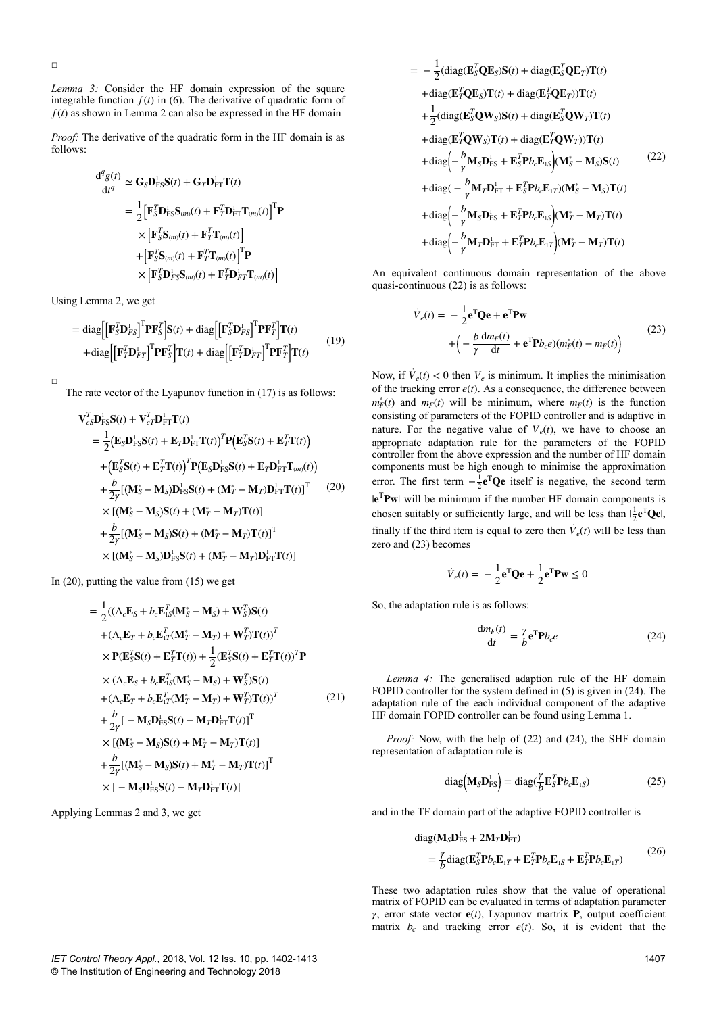□

*Lemma 3:* Consider the HF domain expression of the square integrable function  $f(t)$  in (6). The derivative of quadratic form of  $f(t)$  as shown in Lemma 2 can also be expressed in the HF domain

*Proof:* The derivative of the quadratic form in the HF domain is as follows:

$$
\frac{\mathrm{d}^q g(t)}{\mathrm{d}t^q} \simeq \mathbf{G}_S \mathbf{D}_{\text{FS}}^1 \mathbf{S}(t) + \mathbf{G}_T \mathbf{D}_{\text{FT}}^1 \mathbf{T}(t)
$$
\n
$$
= \frac{1}{2} \big[ \mathbf{F}_S^T \mathbf{D}_{\text{FS}}^1 \mathbf{S}_{(m)}(t) + \mathbf{F}_T^T \mathbf{D}_{\text{FT}}^1 \mathbf{T}_{(m)}(t) \big]^{\text{T}} \mathbf{P}
$$
\n
$$
\times \big[ \mathbf{F}_S^T \mathbf{S}_{(m)}(t) + \mathbf{F}_T^T \mathbf{T}_{(m)}(t) \big] + \big[ \mathbf{F}_S^T \mathbf{S}_{(m)}(t) + \mathbf{F}_T^T \mathbf{T}_{(m)}(t) \big]^{\text{T}} \mathbf{P}
$$
\n
$$
\times \big[ \mathbf{F}_S^T \mathbf{D}_F^1 \mathbf{S}_{(m)}(t) + \mathbf{F}_T^T \mathbf{D}_{\text{FT}}^1 \mathbf{T}_{(m)}(t) \big]
$$

Using Lemma 2, we get

$$
= \text{diag}\Big[\Big[\mathbf{F}_{S}^{T}\mathbf{D}_{FS}^{\dagger}\Big]^{T}\mathbf{P}\mathbf{F}_{S}^{T}\Big]\mathbf{S}(t) + \text{diag}\Big[\Big[\mathbf{F}_{S}^{T}\mathbf{D}_{FS}^{\dagger}\Big]^{T}\mathbf{P}\mathbf{F}_{T}^{T}\Big]\mathbf{T}(t) + \text{diag}\Big[\Big[\mathbf{F}_{T}^{T}\mathbf{D}_{FT}^{\dagger}\Big]^{T}\mathbf{P}\mathbf{F}_{T}^{T}\Big]\mathbf{T}(t) + \text{diag}\Big[\Big[\mathbf{F}_{T}^{T}\mathbf{D}_{FT}^{\dagger}\Big]^{T}\mathbf{P}\mathbf{F}_{T}^{T}\Big]\mathbf{T}(t)
$$
\n(19)

The rate vector of the Lyapunov function in (17) is as follows:

$$
\mathbf{V}_{eS}^T \mathbf{D}_{FS}^{\mathsf{L}} \mathbf{S}(t) + \mathbf{V}_{eT}^T \mathbf{D}_{FT}^{\mathsf{L}} \mathbf{T}(t)
$$
\n
$$
= \frac{1}{2} \big( \mathbf{E}_{S} \mathbf{D}_{FS}^{\mathsf{L}} \mathbf{S}(t) + \mathbf{E}_{T} \mathbf{D}_{FT}^{\mathsf{L}} \mathbf{T}(t) \big)^T \mathbf{P} \big( \mathbf{E}_{S}^T \mathbf{S}(t) + \mathbf{E}_{T}^T \mathbf{T}(t) \big)^T
$$
\n
$$
+ \big( \mathbf{E}_{S}^T \mathbf{S}(t) + \mathbf{E}_{T}^T \mathbf{T}(t) \big)^T \mathbf{P} \big( \mathbf{E}_{S} \mathbf{D}_{FS}^{\mathsf{L}} \mathbf{S}(t) + \mathbf{E}_{T} \mathbf{D}_{FT}^{\mathsf{L}} \mathbf{T}_{(m)}(t) \big)^T
$$
\n
$$
+ \frac{b}{2\gamma} \big[ (\mathbf{M}_{S}^* - \mathbf{M}_{S}) \mathbf{D}_{FS}^{\mathsf{L}} \mathbf{S}(t) + (\mathbf{M}_{T}^* - \mathbf{M}_{T}) \mathbf{D}_{FT}^{\mathsf{L}} \mathbf{T}(t) \big]^T \qquad (20)
$$
\n
$$
\times \big[ (\mathbf{M}_{S}^* - \mathbf{M}_{S}) \mathbf{S}(t) + (\mathbf{M}_{T}^* - \mathbf{M}_{T}) \mathbf{T}(t) \big]
$$
\n
$$
+ \frac{b}{2\gamma} \big[ (\mathbf{M}_{S}^* - \mathbf{M}_{S}) \mathbf{S}(t) + (\mathbf{M}_{T}^* - \mathbf{M}_{T}) \mathbf{T}(t) \big]^T
$$
\n
$$
\times \big[ (\mathbf{M}_{S}^* - \mathbf{M}_{S}) \mathbf{D}_{FS}^{\mathsf{L}} \mathbf{S}(t) + (\mathbf{M}_{T}^* - \mathbf{M}_{T}) \mathbf{D}_{FT}^{\mathsf{L}} \mathbf{T}(t) \big]
$$

In  $(20)$ , putting the value from  $(15)$  we get

$$
= \frac{1}{2}((\Lambda_c \mathbf{E}_S + b_c \mathbf{E}_{1S}^T (\mathbf{M}_S^* - \mathbf{M}_S) + \mathbf{W}_S^T)\mathbf{S}(t)
$$
  
+  $(\Lambda_c \mathbf{E}_T + b_c \mathbf{E}_{1T}^T (\mathbf{M}_T^* - \mathbf{M}_T) + \mathbf{W}_T^T)\mathbf{T}(t))^T$   
 $\times \mathbf{P}(\mathbf{E}_S^T \mathbf{S}(t) + \mathbf{E}_T^T \mathbf{T}(t)) + \frac{1}{2}(\mathbf{E}_S^T \mathbf{S}(t) + \mathbf{E}_T^T \mathbf{T}(t))^T \mathbf{P}$   
 $\times (\Lambda_c \mathbf{E}_S + b_c \mathbf{E}_{1S}^T (\mathbf{M}_S^* - \mathbf{M}_S) + \mathbf{W}_S^T)\mathbf{S}(t)$   
+  $(\Lambda_c \mathbf{E}_T + b_c \mathbf{E}_{1T}^T (\mathbf{M}_T^* - \mathbf{M}_T) + \mathbf{W}_T^T)\mathbf{T}(t))^T$   
+  $\frac{b}{2\gamma}[-\mathbf{M}_S \mathbf{D}_\text{FS}^T \mathbf{S}(t) - \mathbf{M}_T \mathbf{D}_\text{FT}^T \mathbf{T}(t)]^T$   
 $\times [(\mathbf{M}_S^* - \mathbf{M}_S)\mathbf{S}(t) + \mathbf{M}_T^* - \mathbf{M}_T)\mathbf{T}(t)]$   
+  $\frac{b}{2\gamma}[(\mathbf{M}_S^* - \mathbf{M}_S)\mathbf{S}(t) + \mathbf{M}_T^* - \mathbf{M}_T)\mathbf{T}(t)]^T$   
 $\times [-\mathbf{M}_S \mathbf{D}_\text{FS}^T \mathbf{S}(t) - \mathbf{M}_T \mathbf{D}_\text{FT}^T \mathbf{T}(t)]$ 

Applying Lemmas 2 and 3, we get

$$
-\frac{1}{2}(\text{diag}(\mathbf{E}_{S}^{T}\mathbf{Q}\mathbf{E}_{S})\mathbf{S}(t) + \text{diag}(\mathbf{E}_{S}^{T}\mathbf{Q}\mathbf{E}_{T})\mathbf{T}(t) \n+\text{diag}(\mathbf{E}_{T}^{T}\mathbf{Q}\mathbf{E}_{S})\mathbf{T}(t) + \text{diag}(\mathbf{E}_{T}^{T}\mathbf{Q}\mathbf{E}_{T})\mathbf{T}(t) \n+\frac{1}{2}(\text{diag}(\mathbf{E}_{S}^{T}\mathbf{Q}\mathbf{W}_{S})\mathbf{S}(t) + \text{diag}(\mathbf{E}_{S}^{T}\mathbf{Q}\mathbf{W}_{T})\mathbf{T}(t) \n+\text{diag}(\mathbf{E}_{T}^{T}\mathbf{Q}\mathbf{W}_{S})\mathbf{T}(t) + \text{diag}(\mathbf{E}_{T}^{T}\mathbf{Q}\mathbf{W}_{T})\mathbf{T}(t) \n+\text{diag}\left(-\frac{b}{\gamma}\mathbf{M}_{S}\mathbf{D}_{\text{FS}}^{L} + \mathbf{E}_{S}^{T}\mathbf{P}_{b}\mathbf{E}_{\text{LS}}^{L}\right)(\mathbf{M}_{S}^{*} - \mathbf{M}_{S})\mathbf{S}(t) \tag{22}
$$
\n
$$
+\text{diag}(-\frac{b}{\gamma}\mathbf{M}_{T}\mathbf{D}_{\text{FT}}^{L} + \mathbf{E}_{S}^{T}\mathbf{P}_{b}\mathbf{E}_{\text{LT}})(\mathbf{M}_{S}^{*} - \mathbf{M}_{S})\mathbf{T}(t) \n+\text{diag}\left(-\frac{b}{\gamma}\mathbf{M}_{S}\mathbf{D}_{\text{FS}}^{L} + \mathbf{E}_{T}^{T}\mathbf{P}_{b}\mathbf{E}_{\text{LS}}^{L}\right)(\mathbf{M}_{T}^{*} - \mathbf{M}_{T})\mathbf{T}(t) \n+\text{diag}\left(-\frac{b}{\gamma}\mathbf{M}_{T}\mathbf{D}_{\text{FT}}^{L} + \mathbf{E}_{T}^{T}\mathbf{P}_{b}\mathbf{E}_{\text{LT}}^{L}\right)(\mathbf{M}_{T}^{*} - \mathbf{M}_{T})\mathbf{T}(t)
$$

An equivalent continuous domain representation of the above quasi-continuous (22) is as follows:

$$
\dot{V}_e(t) = -\frac{1}{2} \mathbf{e}^{\mathrm{T}} \mathbf{Q} \mathbf{e} + \mathbf{e}^{\mathrm{T}} \mathbf{P} \mathbf{w}
$$
\n
$$
+ \left( -\frac{b}{\gamma} \frac{dm_F(t)}{dt} + \mathbf{e}^{\mathrm{T}} \mathbf{P} b_c e \right) (m_F^*(t) - m_F(t))
$$
\n(23)

Now, if  $\dot{V}_e(t) < 0$  then  $V_e$  is minimum. It implies the minimisation of the tracking error  $e(t)$ . As a consequence, the difference between  $m_F^*(t)$  and  $m_F(t)$  will be minimum, where  $m_F(t)$  is the function consisting of parameters of the FOPID controller and is adaptive in nature. For the negative value of  $\dot{V}_e(t)$ , we have to choose an appropriate adaptation rule for the parameters of the FOPID controller from the above expression and the number of HF domain components must be high enough to minimise the approximation error. The first term  $-\frac{1}{2}e^{T}Qe$  itself is negative, the second term le<sup>T</sup>Pwl will be minimum if the number HF domain components is chosen suitably or sufficiently large, and will be less than  $1\frac{1}{2}e^{T}QeI$ , finally if the third item is equal to zero then  $\dot{V}_e(t)$  will be less than zero and (23) becomes

$$
\dot{V}_e(t) = -\frac{1}{2} \mathbf{e}^{\mathrm{T}} \mathbf{Q} \mathbf{e} + \frac{1}{2} \mathbf{e}^{\mathrm{T}} \mathbf{P} \mathbf{w} \le 0
$$

So, the adaptation rule is as follows:

= −

$$
\frac{\mathrm{d}m_F(t)}{\mathrm{d}t} = \frac{\gamma}{b} \mathbf{e}^{\mathrm{T}} \mathbf{P} b_c e \tag{24}
$$

*Lemma 4:* The generalised adaption rule of the HF domain FOPID controller for the system defined in  $(5)$  is given in  $(24)$ . The adaptation rule of the each individual component of the adaptive HF domain FOPID controller can be found using Lemma 1.

*Proof:* Now, with the help of (22) and (24), the SHF domain representation of adaptation rule is

$$
\text{diag}\left(\mathbf{M}_{S}\mathbf{D}_{FS}^{1}\right) = \text{diag}(\frac{\gamma}{b}\mathbf{E}_{S}^{T}\mathbf{P}b_{c}\mathbf{E}_{1S})
$$
\n(25)

and in the TF domain part of the adaptive FOPID controller is

diag(
$$
\mathbf{M}_S \mathbf{D}_{FS}^{\mathsf{L}} + 2\mathbf{M}_T \mathbf{D}_{FT}^{\mathsf{L}}
$$
)  
=  $\frac{\gamma}{b} \text{diag}(\mathbf{E}_S^T \mathbf{P} b_c \mathbf{E}_{1T} + \mathbf{E}_T^T \mathbf{P} b_c \mathbf{E}_{1S} + \mathbf{E}_T^T \mathbf{P} b_c \mathbf{E}_{1T})$  (26)

These two adaptation rules show that the value of operational matrix of FOPID can be evaluated in terms of adaptation parameter *γ*, error state vector **e**(*t*), Lyapunov martrix **P**, output coefficient matrix  $b_c$  and tracking error  $e(t)$ . So, it is evident that the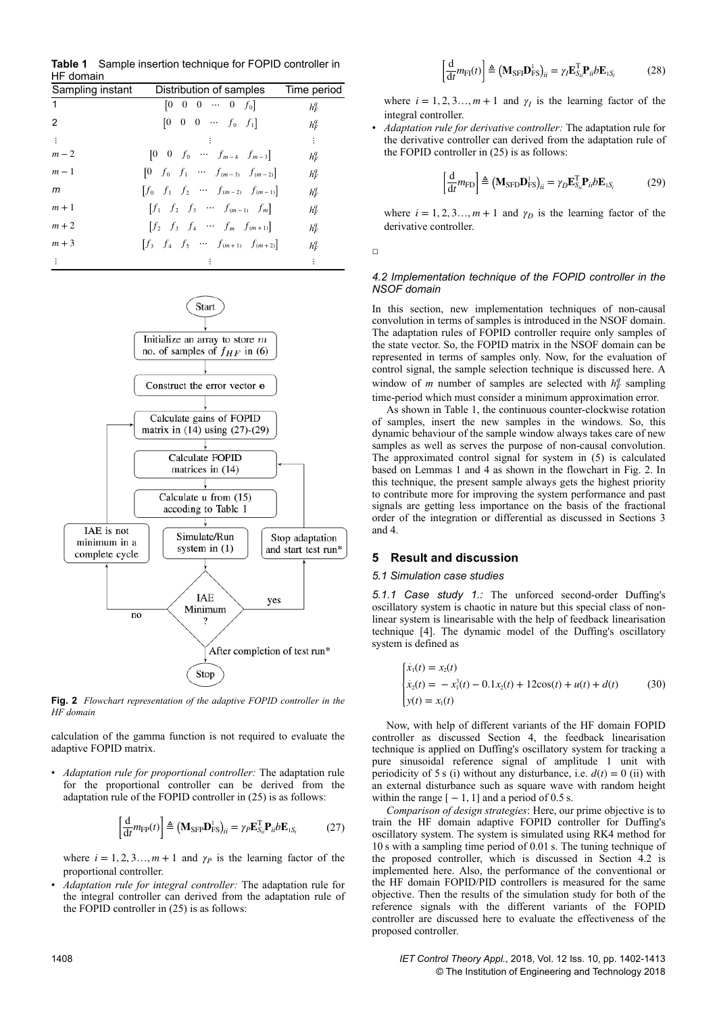| HF domain        |                                                                                  |             |
|------------------|----------------------------------------------------------------------------------|-------------|
| Sampling instant | Distribution of samples                                                          | Time period |
| $\overline{1}$   | $[0 \ 0 \ 0 \ \cdots \ 0 \ f_0]$                                                 | $h_F^q$     |
| 2                | $\begin{bmatrix} 0 & 0 & 0 & \cdots & f_0 & f_1 \end{bmatrix}$                   | $h_F^q$     |
| $\sim 10$        |                                                                                  | ÷           |
| $m-2$            | $\begin{bmatrix} 0 & 0 & f_0 & \cdots & f_{m-4} & f_{m-3} \end{bmatrix}$         | $h_F^q$     |
| $m-1$            | $\begin{bmatrix} 0 & f_0 & f_1 & \cdots & f_{(m-3)} & f_{(m-2)} \end{bmatrix}$   | $h_F^q$     |
| m                | $\begin{bmatrix} f_0 & f_1 & f_2 & \cdots & f_{(m-2)} & f_{(m-1)} \end{bmatrix}$ | $h_F^q$     |
| $m+1$            | $[f_1 \quad f_2 \quad f_3 \quad \cdots \quad f_{(m-1)} \quad f_m]$               | $h_F^q$     |
| $m+2$            | $\begin{bmatrix} f_2 & f_3 & f_4 & \cdots & f_m & f_{(m+1)} \end{bmatrix}$       | $h_F^q$     |
| $m+3$            | $\begin{bmatrix} f_3 & f_4 & f_5 & \cdots & f_{(m+1)} & f_{(m+2)} \end{bmatrix}$ | $h_F^q$     |
|                  |                                                                                  | ÷           |

**Table 1** Sample insertion technique for FOPID controller in HF domain



**Fig. 2** *Flowchart representation of the adaptive FOPID controller in the HF domain*

calculation of the gamma function is not required to evaluate the adaptive FOPID matrix.

• *Adaptation rule for proportional controller:* The adaptation rule for the proportional controller can be derived from the adaptation rule of the FOPID controller in (25) is as follows:

$$
\left[\frac{\mathrm{d}}{\mathrm{d}t}m_{\mathrm{FP}}(t)\right] \triangleq \left(\mathbf{M}_{\mathrm{SFP}}\mathbf{D}_{\mathrm{FS}}^{\mathrm{I}}\right)_{ii} = \gamma_{P}\mathbf{E}_{S_{ii}}^{\mathrm{T}}\mathbf{P}_{ii}b\mathbf{E}_{1S_{i}} \tag{27}
$$

where  $i = 1, 2, 3, \ldots, m + 1$  and  $\gamma_p$  is the learning factor of the proportional controller.

• *Adaptation rule for integral controller:* The adaptation rule for the integral controller can derived from the adaptation rule of the FOPID controller in (25) is as follows:

$$
\left[\frac{\mathrm{d}}{\mathrm{d}t}m_{\mathrm{FI}}(t)\right] \triangleq \left(\mathbf{M}_{\mathrm{SFI}}\mathbf{D}_{\mathrm{FS}}^{\mathrm{1}}\right)_{ii} = \gamma_{I}\mathbf{E}_{S_{ii}}^{\mathrm{T}}\mathbf{P}_{ii}b\mathbf{E}_{1S_{i}} \tag{28}
$$

where  $i = 1, 2, 3, \ldots, m + 1$  and  $\gamma_I$  is the learning factor of the integral controller.

• *Adaptation rule for derivative controller:* The adaptation rule for the derivative controller can derived from the adaptation rule of the FOPID controller in (25) is as follows:

$$
\left[\frac{\mathrm{d}}{\mathrm{d}t}m_{\mathrm{FD}}\right] \triangleq \left(\mathbf{M}_{\mathrm{SFD}}\mathbf{D}_{\mathrm{FS}}^{\mathrm{I}}\right)_{ii} = \gamma_D \mathbf{E}_{S_{ii}}^{\mathrm{T}} \mathbf{P}_{ii} b \mathbf{E}_{1S_i} \tag{29}
$$

where  $i = 1, 2, 3, \dots, m + 1$  and  $\gamma_D$  is the learning factor of the derivative controller.

 $\Box$ 

## *4.2 Implementation technique of the FOPID controller in the NSOF domain*

In this section, new implementation techniques of non-causal convolution in terms of samples is introduced in the NSOF domain. The adaptation rules of FOPID controller require only samples of the state vector. So, the FOPID matrix in the NSOF domain can be represented in terms of samples only. Now, for the evaluation of control signal, the sample selection technique is discussed here. A window of *m* number of samples are selected with  $h_F^q$  sampling time-period which must consider a minimum approximation error.

As shown in Table 1, the continuous counter-clockwise rotation of samples, insert the new samples in the windows. So, this dynamic behaviour of the sample window always takes care of new samples as well as serves the purpose of non-causal convolution. The approximated control signal for system in (5) is calculated based on Lemmas 1 and 4 as shown in the flowchart in Fig. 2. In this technique, the present sample always gets the highest priority to contribute more for improving the system performance and past signals are getting less importance on the basis of the fractional order of the integration or differential as discussed in Sections 3 and 4.

## **5 Result and discussion**

### *5.1 Simulation case studies*

*5.1.1 Case study 1.:* The unforced second-order Duffing's oscillatory system is chaotic in nature but this special class of nonlinear system is linearisable with the help of feedback linearisation technique [4]. The dynamic model of the Duffing's oscillatory system is defined as

$$
\begin{cases}\n\dot{x}_1(t) = x_2(t) \\
\dot{x}_2(t) = -x_1^3(t) - 0.1x_2(t) + 12\cos(t) + u(t) + d(t) \\
y(t) = x_1(t)\n\end{cases} (30)
$$

Now, with help of different variants of the HF domain FOPID controller as discussed Section 4, the feedback linearisation technique is applied on Duffing's oscillatory system for tracking a pure sinusoidal reference signal of amplitude 1 unit with periodicity of 5 s (i) without any disturbance, i.e.  $d(t) = 0$  (ii) with an external disturbance such as square wave with random height within the range  $[-1, 1]$  and a period of 0.5 s.

*Comparison of design strategies*: Here, our prime objective is to train the HF domain adaptive FOPID controller for Duffing's oscillatory system. The system is simulated using RK4 method for 10 s with a sampling time period of 0.01 s. The tuning technique of the proposed controller, which is discussed in Section 4.2 is implemented here. Also, the performance of the conventional or the HF domain FOPID/PID controllers is measured for the same objective. Then the results of the simulation study for both of the reference signals with the different variants of the FOPID controller are discussed here to evaluate the effectiveness of the proposed controller.

1408 *IET Control Theory Appl.*, 2018, Vol. 12 Iss. 10, pp. 1402-1413 © The Institution of Engineering and Technology 2018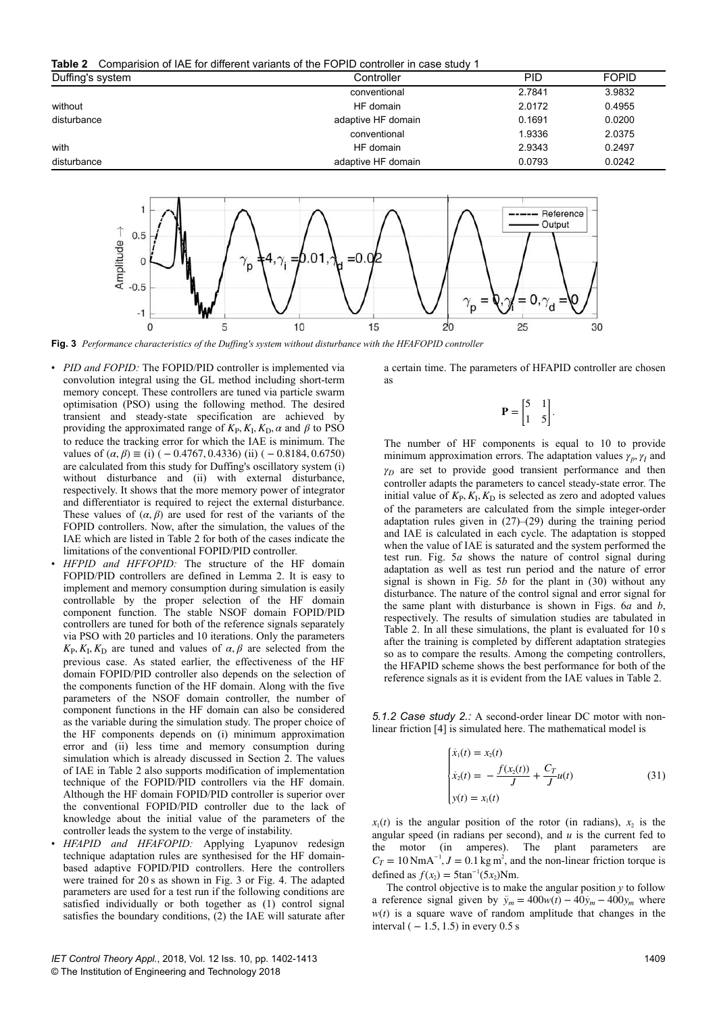**Table 2** Comparision of IAE for different variants of the FOPID controller in case study 1

| Duffing's system | Controller         | <b>PID</b> | <b>FOPID</b> |
|------------------|--------------------|------------|--------------|
|                  | conventional       | 2.7841     | 3.9832       |
| without          | HF domain          | 2.0172     | 0.4955       |
| disturbance      | adaptive HF domain | 0.1691     | 0.0200       |
|                  | conventional       | 1.9336     | 2.0375       |
| with             | HF domain          | 2.9343     | 0.2497       |
| disturbance      | adaptive HF domain | 0.0793     | 0.0242       |
|                  |                    |            |              |



**Fig. 3** *Performance characteristics of the Duffing's system without disturbance with the HFAFOPID controller*

- *PID and FOPID:* The FOPID/PID controller is implemented via convolution integral using the GL method including short-term memory concept. These controllers are tuned via particle swarm optimisation (PSO) using the following method. The desired transient and steady-state specification are achieved by providing the approximated range of  $K_P$ ,  $K_I$ ,  $K_D$ ,  $\alpha$  and  $\beta$  to PSO to reduce the tracking error for which the IAE is minimum. The values of  $(\alpha, \beta) \equiv (i) (-0.4767, 0.4336)$  (ii)  $(-0.8184, 0.6750)$ are calculated from this study for Duffing's oscillatory system (i) without disturbance and (ii) with external disturbance, respectively. It shows that the more memory power of integrator and differentiator is required to reject the external disturbance. These values of  $(\alpha, \beta)$  are used for rest of the variants of the FOPID controllers. Now, after the simulation, the values of the IAE which are listed in Table 2 for both of the cases indicate the limitations of the conventional FOPID/PID controller.
- *HFPID and HFFOPID:* The structure of the HF domain FOPID/PID controllers are defined in Lemma 2. It is easy to implement and memory consumption during simulation is easily controllable by the proper selection of the HF domain component function. The stable NSOF domain FOPID/PID controllers are tuned for both of the reference signals separately via PSO with 20 particles and 10 iterations. Only the parameters  $K_{\rm P}$ ,  $K_{\rm I}$ ,  $K_{\rm D}$  are tuned and values of  $\alpha$ ,  $\beta$  are selected from the previous case. As stated earlier, the effectiveness of the HF domain FOPID/PID controller also depends on the selection of the components function of the HF domain. Along with the five parameters of the NSOF domain controller, the number of component functions in the HF domain can also be considered as the variable during the simulation study. The proper choice of the HF components depends on (i) minimum approximation error and (ii) less time and memory consumption during simulation which is already discussed in Section 2. The values of IAE in Table 2 also supports modification of implementation technique of the FOPID/PID controllers via the HF domain. Although the HF domain FOPID/PID controller is superior over the conventional FOPID/PID controller due to the lack of knowledge about the initial value of the parameters of the controller leads the system to the verge of instability.
- *HFAPID and HFAFOPID:* Applying Lyapunov redesign technique adaptation rules are synthesised for the HF domainbased adaptive FOPID/PID controllers. Here the controllers were trained for 20 s as shown in Fig. 3 or Fig. 4. The adapted parameters are used for a test run if the following conditions are satisfied individually or both together as (1) control signal satisfies the boundary conditions, (2) the IAE will saturate after

a certain time. The parameters of HFAPID controller are chosen as

$$
\mathbf{P} = \begin{bmatrix} 5 & 1 \\ 1 & 5 \end{bmatrix}
$$

.

The number of HF components is equal to 10 to provide minimum approximation errors. The adaptation values  $\gamma_p$ ,  $\gamma_I$  and  $\gamma_D$  are set to provide good transient performance and then controller adapts the parameters to cancel steady-state error. The initial value of  $K_{\rm P}$ ,  $K_{\rm I}$ ,  $K_{\rm D}$  is selected as zero and adopted values of the parameters are calculated from the simple integer-order adaptation rules given in (27)–(29) during the training period and IAE is calculated in each cycle. The adaptation is stopped when the value of IAE is saturated and the system performed the test run. Fig. 5*a* shows the nature of control signal during adaptation as well as test run period and the nature of error signal is shown in Fig. 5*b* for the plant in (30) without any disturbance. The nature of the control signal and error signal for the same plant with disturbance is shown in Figs. 6*a* and *b*, respectively. The results of simulation studies are tabulated in Table 2. In all these simulations, the plant is evaluated for 10 s after the training is completed by different adaptation strategies so as to compare the results. Among the competing controllers, the HFAPID scheme shows the best performance for both of the reference signals as it is evident from the IAE values in Table 2.

*5.1.2 Case study 2.:* A second-order linear DC motor with nonlinear friction [4] is simulated here. The mathematical model is

$$
\begin{cases}\n\dot{x}_1(t) = x_2(t) \\
\dot{x}_2(t) = -\frac{f(x_2(t))}{J} + \frac{C_T}{J}u(t) \\
y(t) = x_1(t)\n\end{cases} (31)
$$

 $x_1(t)$  is the angular position of the rotor (in radians),  $x_2$  is the angular speed (in radians per second), and *u* is the current fed to the motor (in amperes). The plant parameters are  $C_T = 10 \text{ NmA}^{-1}$ ,  $J = 0.1 \text{ kg m}^2$ , and the non-linear friction torque is defined as  $f(x_2) = 5\tan^{-1}(5x_2)Nm$ .

The control objective is to make the angular position *y* to follow a reference signal given by  $\ddot{y}_m = 400w(t) - 40\dot{y}_m - 400y_m$  where  $w(t)$  is a square wave of random amplitude that changes in the interval ( $-1.5$ , 1.5) in every 0.5 s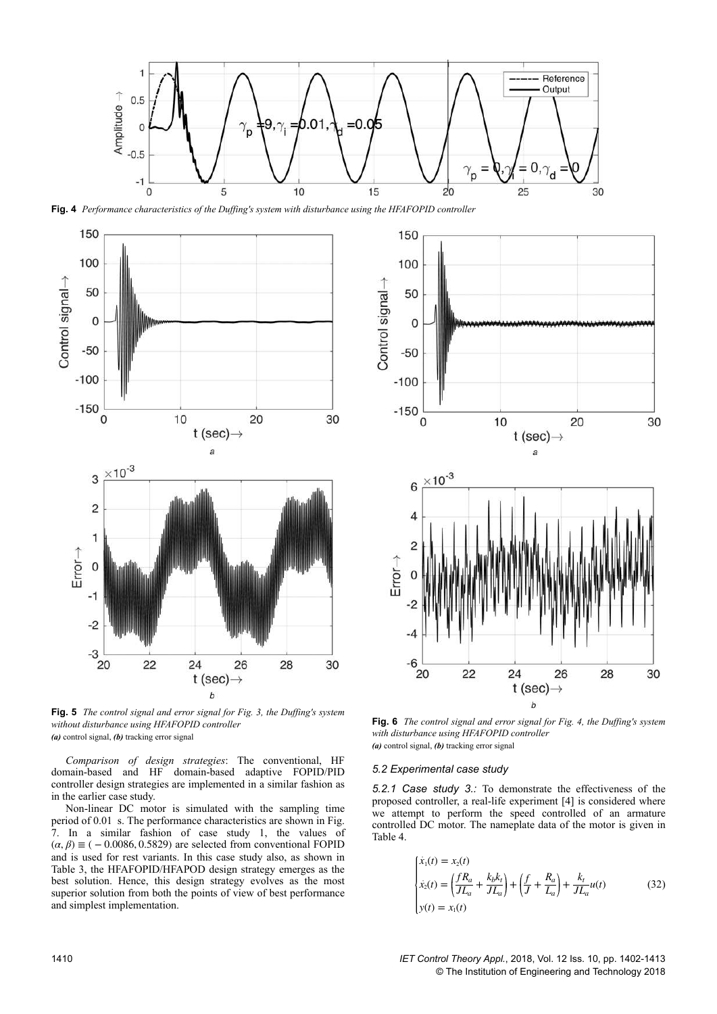

**Fig. 4** *Performance characteristics of the Duffing's system with disturbance using the HFAFOPID controller*



**Fig. 5** *The control signal and error signal for Fig. 3, the Duffing's system without disturbance using HFAFOPID controller (a)* control signal, *(b)* tracking error signal

*Comparison of design strategies*: The conventional, HF domain-based and HF domain-based adaptive FOPID/PID controller design strategies are implemented in a similar fashion as in the earlier case study.

Non-linear DC motor is simulated with the sampling time period of 0.01  s. The performance characteristics are shown in Fig. 7. In a similar fashion of case study 1, the values of  $(\alpha, \beta) \equiv (-0.0086, 0.5829)$  are selected from conventional FOPID and is used for rest variants. In this case study also, as shown in Table 3, the HFAFOPID/HFAPOD design strategy emerges as the best solution. Hence, this design strategy evolves as the most superior solution from both the points of view of best performance and simplest implementation.



**Fig. 6** *The control signal and error signal for Fig. 4, the Duffing's system with disturbance using HFAFOPID controller (a)* control signal, *(b)* tracking error signal

#### *5.2 Experimental case study*

*5.2.1 Case study 3.:* To demonstrate the effectiveness of the proposed controller, a real-life experiment [4] is considered where we attempt to perform the speed controlled of an armature controlled DC motor. The nameplate data of the motor is given in Table 4.

$$
\begin{cases}\n\dot{x}_1(t) = x_2(t) \\
\dot{x}_2(t) = \left(\frac{fR_a}{JL_a} + \frac{k_b k_t}{JL_a}\right) + \left(\frac{f}{J} + \frac{R_a}{L_a}\right) + \frac{k_t}{JL_a}u(t) \\
y(t) = x_1(t)\n\end{cases} \tag{32}
$$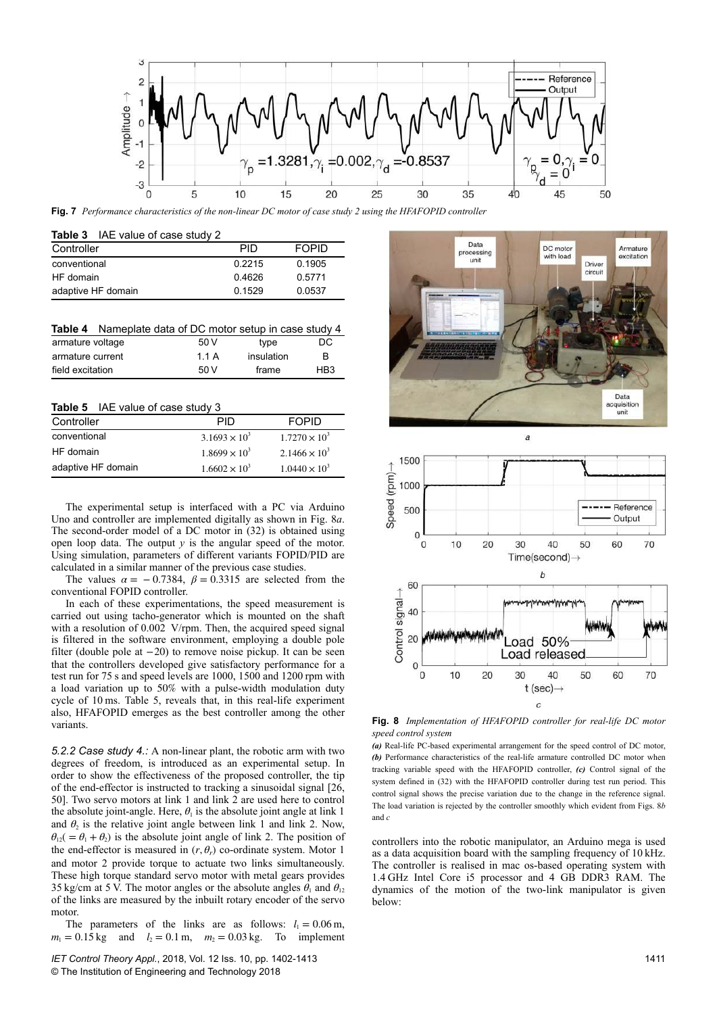

**Fig. 7** *Performance characteristics of the non-linear DC motor of case study 2 using the HFAFOPID controller*

|            | <b>Table 3</b> IAE value of case study 2 |  |
|------------|------------------------------------------|--|
| Controller |                                          |  |

| Controller         | PID    | <b>FOPID</b> |
|--------------------|--------|--------------|
| conventional       | 0.2215 | 0.1905       |
| HF domain          | 0.4626 | 0.5771       |
| adaptive HF domain | 0.1529 | 0.0537       |

|                  | <b>Table 4</b> Nameplate data of DC motor setup in case study 4 |            |     |
|------------------|-----------------------------------------------------------------|------------|-----|
| armature voltage | 50 V                                                            | type       | DC. |
| armature current | 1 1 A                                                           | insulation | B   |
| field excitation | 50V                                                             | frame      | HB3 |

| Controller         | PID                    | <b>FOPID</b>           |
|--------------------|------------------------|------------------------|
| conventional       | $3.1693 \times 10^{3}$ | $1.7270 \times 10^{3}$ |
| HF domain          | $1.8699 \times 10^{3}$ | $2.1466 \times 10^3$   |
| adaptive HF domain | $1.6602 \times 10^{3}$ | $1.0440 \times 10^{3}$ |

The experimental setup is interfaced with a PC via Arduino Uno and controller are implemented digitally as shown in Fig. 8*a*. The second-order model of a DC motor in (32) is obtained using open loop data. The output  $y$  is the angular speed of the motor. Using simulation, parameters of different variants FOPID/PID are calculated in a similar manner of the previous case studies.

The values  $\alpha = -0.7384$ ,  $\beta = 0.3315$  are selected from the conventional FOPID controller.

In each of these experimentations, the speed measurement is carried out using tacho-generator which is mounted on the shaft with a resolution of 0.002  V/rpm. Then, the acquired speed signal is filtered in the software environment, employing a double pole filter (double pole at −20) to remove noise pickup. It can be seen that the controllers developed give satisfactory performance for a test run for 75 s and speed levels are 1000, 1500 and 1200 rpm with a load variation up to 50% with a pulse-width modulation duty cycle of 10 ms. Table 5, reveals that, in this real-life experiment also, HFAFOPID emerges as the best controller among the other variants.

*5.2.2 Case study 4.:* A non-linear plant, the robotic arm with two degrees of freedom, is introduced as an experimental setup. In order to show the effectiveness of the proposed controller, the tip of the end-effector is instructed to tracking a sinusoidal signal [26, 50]. Two servo motors at link 1 and link 2 are used here to control the absolute joint-angle. Here,  $\theta_1$  is the absolute joint angle at link 1 and  $\theta_2$  is the relative joint angle between link 1 and link 2. Now,  $\theta_{12}$ ( =  $\theta_1 + \theta_2$ ) is the absolute joint angle of link 2. The position of the end-effector is measured in  $(r, \theta_r)$  co-ordinate system. Motor 1 and motor 2 provide torque to actuate two links simultaneously. These high torque standard servo motor with metal gears provides 35 kg/cm at 5 V. The motor angles or the absolute angles  $\theta_1$  and  $\theta_{12}$ of the links are measured by the inbuilt rotary encoder of the servo motor.

The parameters of the links are as follows:  $l_1 = 0.06 \text{ m}$ ,  $m_1 = 0.15$  kg and  $l_2 = 0.1$  m,  $m_2 = 0.03$  kg. To implement





**Fig. 8** *Implementation of HFAFOPID controller for real-life DC motor speed control system*

*(a)* Real-life PC-based experimental arrangement for the speed control of DC motor, *(b)* Performance characteristics of the real-life armature controlled DC motor when tracking variable speed with the HFAFOPID controller, *(c)* Control signal of the system defined in (32) with the HFAFOPID controller during test run period. This control signal shows the precise variation due to the change in the reference signal. The load variation is rejected by the controller smoothly which evident from Figs. 8*b* and *c*

controllers into the robotic manipulator, an Arduino mega is used as a data acquisition board with the sampling frequency of 10 kHz. The controller is realised in mac os-based operating system with 1.4 GHz Intel Core i5 processor and 4 GB DDR3 RAM. The dynamics of the motion of the two-link manipulator is given below: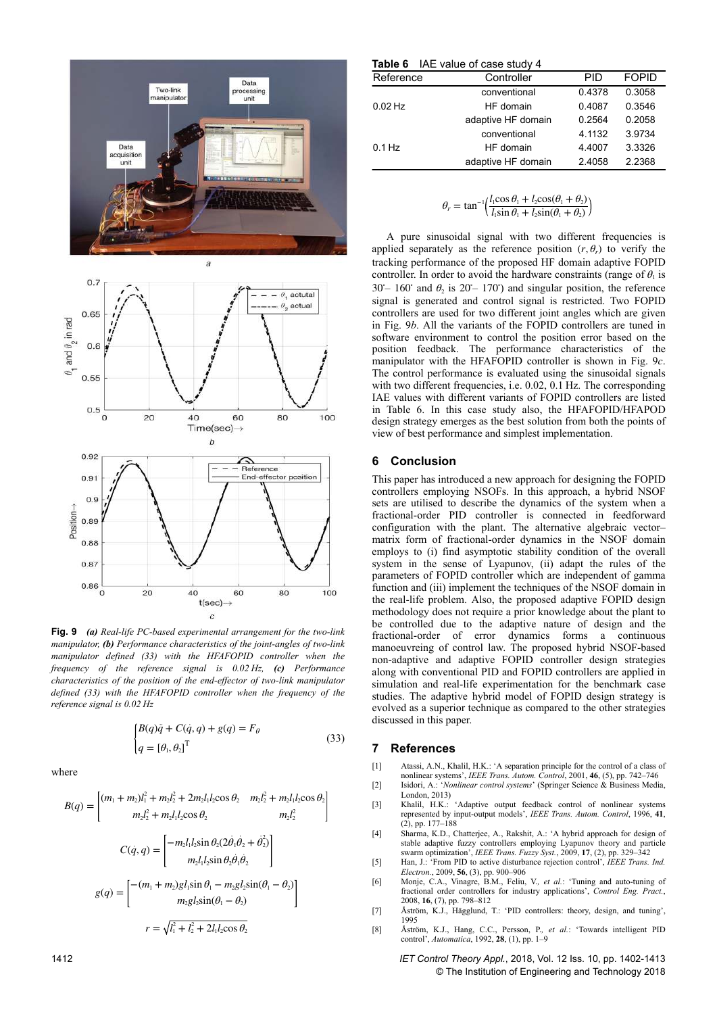



**Fig. 9** *(a) Real-life PC-based experimental arrangement for the two-link manipulator, (b) Performance characteristics of the joint-angles of two-link manipulator defined (33) with the HFAFOPID controller when the frequency of the reference signal is 0.02 Hz, (c) Performance characteristics of the position of the end-effector of two-link manipulator defined (33) with the HFAFOPID controller when the frequency of the reference signal is 0.02 Hz*

$$
\begin{cases} B(q)\ddot{q} + C(\dot{q}, q) + g(q) = F_{\theta} \\ q = [\theta_1, \theta_2]^\mathrm{T} \end{cases} \tag{33}
$$

where

$$
B(q) = \begin{bmatrix} (m_1 + m_2)l_1^2 + m_2l_2^2 + 2m_2l_1l_2\cos\theta_2 & m_2l_2^2 + m_2l_1l_2\cos\theta_2 \\ m_2l_2^2 + m_2l_1l_2\cos\theta_2 & m_2l_2^2 \end{bmatrix}
$$

$$
C(\dot{q}, q) = \begin{bmatrix} -m_2l_1l_2\sin\theta_2(2\dot{\theta}_1\dot{\theta}_2 + \dot{\theta}_2^2) \\ m_2l_1l_2\sin\theta_2\dot{\theta}_1\dot{\theta}_2 \end{bmatrix}
$$

$$
g(q) = \begin{bmatrix} -(m_1 + m_2)g l_1\sin\theta_1 - m_2g l_2\sin(\theta_1 - \theta_2) \\ m_2g l_2\sin(\theta_1 - \theta_2) \end{bmatrix}
$$

$$
r = \sqrt{l_1^2 + l_2^2 + 2l_1l_2\cos\theta_2}
$$

|           | Table 6 IAE value of case study 4 |        |              |
|-----------|-----------------------------------|--------|--------------|
| Reference | Controller                        | PID    | <b>FOPID</b> |
|           | conventional                      | 0.4378 | 0.3058       |
| $0.02$ Hz | HF domain                         | 0.4087 | 0.3546       |
|           | adaptive HF domain                | 0.2564 | 0.2058       |
|           | conventional                      | 4.1132 | 3.9734       |
| $0.1$ Hz  | HF domain                         | 4.4007 | 3.3326       |
|           | adaptive HF domain                | 2.4058 | 2.2368       |
|           |                                   |        |              |

$$
\theta_r = \tan^{-1}\left(\frac{l_1 \cos \theta_1 + l_2 \cos(\theta_1 + \theta_2)}{l_1 \sin \theta_1 + l_2 \sin(\theta_1 + \theta_2)}\right)
$$

A pure sinusoidal signal with two different frequencies is applied separately as the reference position  $(r, \theta_r)$  to verify the tracking performance of the proposed HF domain adaptive FOPID controller. In order to avoid the hardware constraints (range of  $\theta_1$  is 30° – 160° and  $\theta_2$  is 20° – 170°) and singular position, the reference signal is generated and control signal is restricted. Two FOPID controllers are used for two different joint angles which are given in Fig. 9*b*. All the variants of the FOPID controllers are tuned in software environment to control the position error based on the position feedback. The performance characteristics of the manipulator with the HFAFOPID controller is shown in Fig. 9*c*. The control performance is evaluated using the sinusoidal signals with two different frequencies, i.e. 0.02, 0.1 Hz. The corresponding IAE values with different variants of FOPID controllers are listed in Table 6. In this case study also, the HFAFOPID/HFAPOD design strategy emerges as the best solution from both the points of view of best performance and simplest implementation.

## **6 Conclusion**

This paper has introduced a new approach for designing the FOPID controllers employing NSOFs. In this approach, a hybrid NSOF sets are utilised to describe the dynamics of the system when a fractional-order PID controller is connected in feedforward configuration with the plant. The alternative algebraic vector– matrix form of fractional-order dynamics in the NSOF domain employs to (i) find asymptotic stability condition of the overall system in the sense of Lyapunov, (ii) adapt the rules of the parameters of FOPID controller which are independent of gamma function and (iii) implement the techniques of the NSOF domain in the real-life problem. Also, the proposed adaptive FOPID design methodology does not require a prior knowledge about the plant to be controlled due to the adaptive nature of design and the fractional-order of error dynamics forms a continuous manoeuvreing of control law. The proposed hybrid NSOF-based non-adaptive and adaptive FOPID controller design strategies along with conventional PID and FOPID controllers are applied in simulation and real-life experimentation for the benchmark case studies. The adaptive hybrid model of FOPID design strategy is evolved as a superior technique as compared to the other strategies discussed in this paper.

# **7 References**

- [1] Atassi, A.N., Khalil, H.K.: 'A separation principle for the control of a class of nonlinear systems', *IEEE Trans. Autom. Control*, 2001, **46**, (5), pp. 742–746
- [2] Isidori, A.: '*Nonlinear control systems*' (Springer Science & Business Media, London, 2013)<br>Khalil H.K.
- [3] Khalil, H.K.: 'Adaptive output feedback control of nonlinear systems represented by input-output models', *IEEE Trans. Autom. Control*, 1996, **41**, (2), pp. 177–188
- [4] Sharma, K.D., Chatterjee, A., Rakshit, A.: 'A hybrid approach for design of stable adaptive fuzzy controllers employing Lyapunov theory and particle
- swarm optimization', *IEEE Trans. Fuzzy Syst.*, 2009, **17**, (2), pp. 329–342 [5] Han, J.: 'From PID to active disturbance rejection control', *IEEE Trans. Ind. Electron.*, 2009, **56**, (3), pp. 900–906
- [6] Monje, C.A., Vinagre, B.M., Feliu, V.*, et al.*: 'Tuning and auto-tuning of fractional order controllers for industry applications', *Control Eng. Pract.*, 2008, **16**, (7), pp. 798–812
- [7] Åström, K.J., Hägglund, T.: 'PID controllers: theory, design, and tuning', 1995
- [8] Åström, K.J., Hang, C.C., Persson, P.*, et al.*: 'Towards intelligent PID control', *Automatica*, 1992, **28**, (1), pp. 1–9

1412 *IET Control Theory Appl.*, 2018, Vol. 12 Iss. 10, pp. 1402-1413 © The Institution of Engineering and Technology 2018